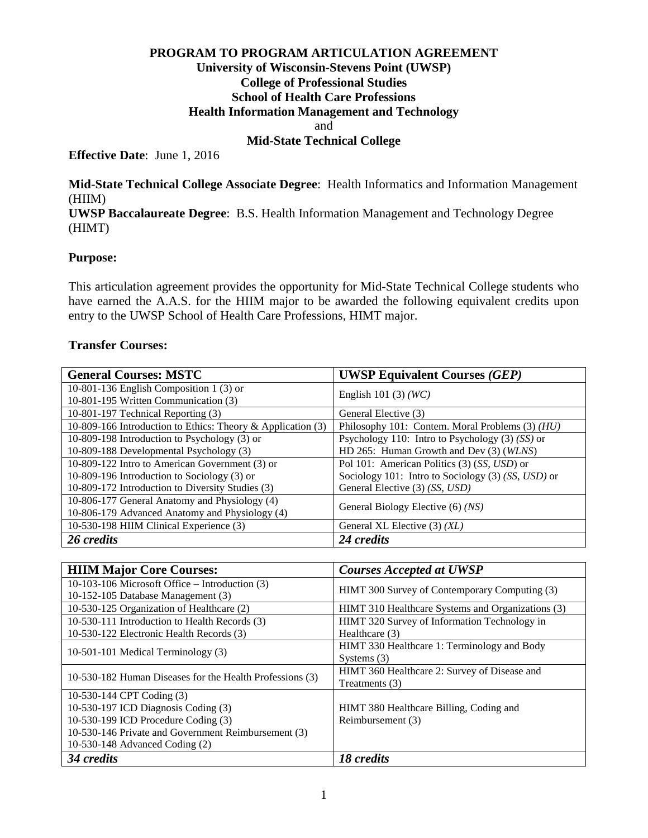## **PROGRAM TO PROGRAM ARTICULATION AGREEMENT University of Wisconsin-Stevens Point (UWSP) College of Professional Studies School of Health Care Professions Health Information Management and Technology** and

## **Mid-State Technical College**

**Effective Date**: June 1, 2016

**Mid-State Technical College Associate Degree**: Health Informatics and Information Management (HIIM) **UWSP Baccalaureate Degree**: B.S. Health Information Management and Technology Degree (HIMT)

## **Purpose:**

This articulation agreement provides the opportunity for Mid-State Technical College students who have earned the A.A.S. for the HIIM major to be awarded the following equivalent credits upon entry to the UWSP School of Health Care Professions, HIMT major.

#### **Transfer Courses:**

| <b>General Courses: MSTC</b>                                | <b>UWSP Equivalent Courses (GEP)</b>               |
|-------------------------------------------------------------|----------------------------------------------------|
| 10-801-136 English Composition 1 (3) or                     | English 101 (3) $(WC)$                             |
| 10-801-195 Written Communication (3)                        |                                                    |
| 10-801-197 Technical Reporting (3)                          | General Elective (3)                               |
| 10-809-166 Introduction to Ethics: Theory & Application (3) | Philosophy 101: Contem. Moral Problems (3) (HU)    |
| 10-809-198 Introduction to Psychology (3) or                | Psychology 110: Intro to Psychology $(3)$ (SS) or  |
| 10-809-188 Developmental Psychology (3)                     | HD 265: Human Growth and Dev (3) (WLNS)            |
| 10-809-122 Intro to American Government (3) or              | Pol 101: American Politics (3) (SS, USD) or        |
| 10-809-196 Introduction to Sociology (3) or                 | Sociology 101: Intro to Sociology (3) (SS, USD) or |
| 10-809-172 Introduction to Diversity Studies (3)            | General Elective (3) (SS, USD)                     |
| 10-806-177 General Anatomy and Physiology (4)               | General Biology Elective (6) (NS)                  |
| 10-806-179 Advanced Anatomy and Physiology (4)              |                                                    |
| 10-530-198 HIIM Clinical Experience (3)                     | General XL Elective (3) (XL)                       |
| 26 credits                                                  | 24 credits                                         |

| <b>HIIM Major Core Courses:</b>                          | <b>Courses Accepted at UWSP</b>                   |
|----------------------------------------------------------|---------------------------------------------------|
| 10-103-106 Microsoft Office – Introduction (3)           | HIMT 300 Survey of Contemporary Computing (3)     |
| 10-152-105 Database Management (3)                       |                                                   |
| 10-530-125 Organization of Healthcare (2)                | HIMT 310 Healthcare Systems and Organizations (3) |
| 10-530-111 Introduction to Health Records (3)            | HIMT 320 Survey of Information Technology in      |
| 10-530-122 Electronic Health Records (3)                 | Healthcare $(3)$                                  |
| 10-501-101 Medical Terminology (3)                       | HIMT 330 Healthcare 1: Terminology and Body       |
|                                                          | Systems $(3)$                                     |
| 10-530-182 Human Diseases for the Health Professions (3) | HIMT 360 Healthcare 2: Survey of Disease and      |
|                                                          | Treatments (3)                                    |
| 10-530-144 CPT Coding (3)                                |                                                   |
| 10-530-197 ICD Diagnosis Coding (3)                      | HIMT 380 Healthcare Billing, Coding and           |
| 10-530-199 ICD Procedure Coding (3)                      | Reimbursement (3)                                 |
| 10-530-146 Private and Government Reimbursement (3)      |                                                   |
| 10-530-148 Advanced Coding (2)                           |                                                   |
| 34 credits                                               | 18 credits                                        |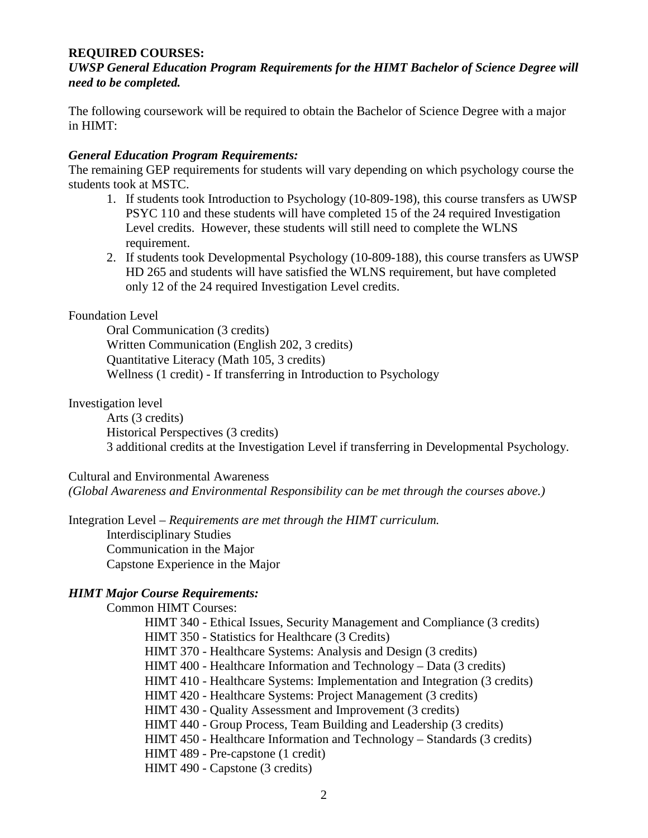## **REQUIRED COURSES:**

*UWSP General Education Program Requirements for the HIMT Bachelor of Science Degree will need to be completed.*

The following coursework will be required to obtain the Bachelor of Science Degree with a major in HIMT:

#### *General Education Program Requirements:*

The remaining GEP requirements for students will vary depending on which psychology course the students took at MSTC.

- 1. If students took Introduction to Psychology (10-809-198), this course transfers as UWSP PSYC 110 and these students will have completed 15 of the 24 required Investigation Level credits. However, these students will still need to complete the WLNS requirement.
- 2. If students took Developmental Psychology (10-809-188), this course transfers as UWSP HD 265 and students will have satisfied the WLNS requirement, but have completed only 12 of the 24 required Investigation Level credits.

#### Foundation Level

Oral Communication (3 credits) Written Communication (English 202, 3 credits) Quantitative Literacy (Math 105, 3 credits) Wellness (1 credit) - If transferring in Introduction to Psychology

#### Investigation level

Arts (3 credits) Historical Perspectives (3 credits) 3 additional credits at the Investigation Level if transferring in Developmental Psychology.

Cultural and Environmental Awareness

*(Global Awareness and Environmental Responsibility can be met through the courses above.)*

Integration Level – *Requirements are met through the HIMT curriculum.* Interdisciplinary Studies

Communication in the Major Capstone Experience in the Major

## *HIMT Major Course Requirements:*

Common HIMT Courses: